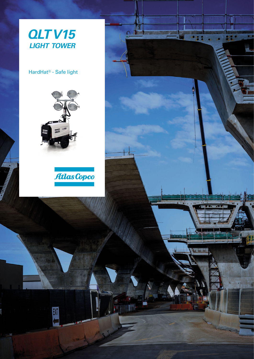

**LAK INTERNATIONAL PROPERTY** 

**Allin Album** 

ANT

 $\Omega$ 

N<sub>u</sub>

**NT** 

Till

HardHat® - Safe light



EXIT